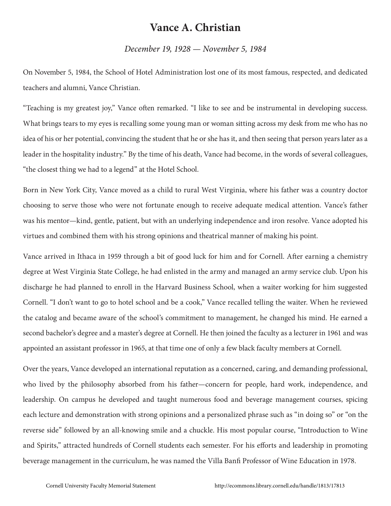## **Vance A. Christian**

## *December 19, 1928 — November 5, 1984*

On November 5, 1984, the School of Hotel Administration lost one of its most famous, respected, and dedicated teachers and alumni, Vance Christian.

"Teaching is my greatest joy," Vance often remarked. "I like to see and be instrumental in developing success. What brings tears to my eyes is recalling some young man or woman sitting across my desk from me who has no idea of his or her potential, convincing the student that he or she has it, and then seeing that person years later as a leader in the hospitality industry." By the time of his death, Vance had become, in the words of several colleagues, "the closest thing we had to a legend" at the Hotel School.

Born in New York City, Vance moved as a child to rural West Virginia, where his father was a country doctor choosing to serve those who were not fortunate enough to receive adequate medical attention. Vance's father was his mentor—kind, gentle, patient, but with an underlying independence and iron resolve. Vance adopted his virtues and combined them with his strong opinions and theatrical manner of making his point.

Vance arrived in Ithaca in 1959 through a bit of good luck for him and for Cornell. After earning a chemistry degree at West Virginia State College, he had enlisted in the army and managed an army service club. Upon his discharge he had planned to enroll in the Harvard Business School, when a waiter working for him suggested Cornell. "I don't want to go to hotel school and be a cook," Vance recalled telling the waiter. When he reviewed the catalog and became aware of the school's commitment to management, he changed his mind. He earned a second bachelor's degree and a master's degree at Cornell. He then joined the faculty as a lecturer in 1961 and was appointed an assistant professor in 1965, at that time one of only a few black faculty members at Cornell.

Over the years, Vance developed an international reputation as a concerned, caring, and demanding professional, who lived by the philosophy absorbed from his father—concern for people, hard work, independence, and leadership. On campus he developed and taught numerous food and beverage management courses, spicing each lecture and demonstration with strong opinions and a personalized phrase such as "in doing so" or "on the reverse side" followed by an all-knowing smile and a chuckle. His most popular course, "Introduction to Wine and Spirits," attracted hundreds of Cornell students each semester. For his efforts and leadership in promoting beverage management in the curriculum, he was named the Villa Banfi Professor of Wine Education in 1978.